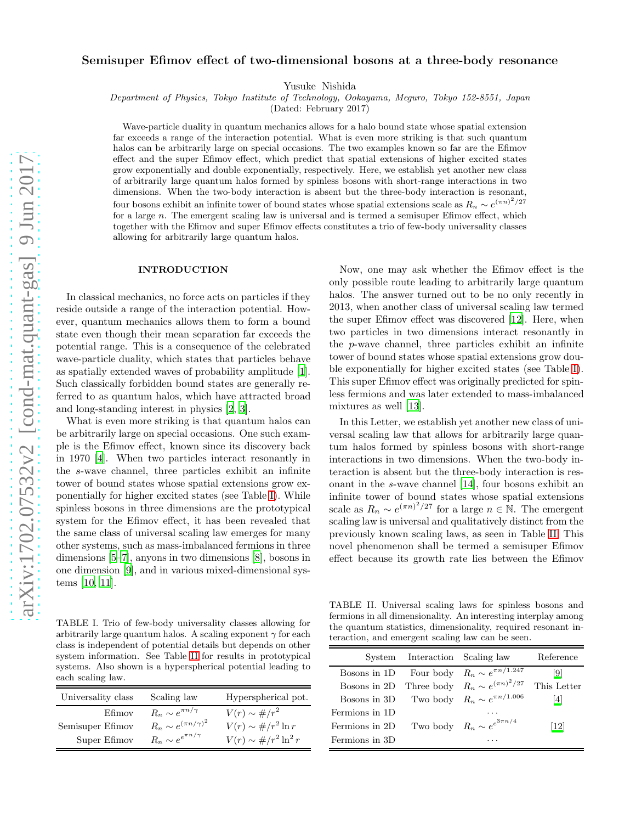## Semisuper Efimov effect of two-dimensional bosons at a three-body resonance

Yusuke Nishida

Department of Physics, Tokyo Institute of Technology, Ookayama, Meguro, Tokyo 152-8551, Japan

(Dated: February 2017)

Wave-particle duality in quantum mechanics allows for a halo bound state whose spatial extension far exceeds a range of the interaction potential. What is even more striking is that such quantum halos can be arbitrarily large on special occasions. The two examples known so far are the Efimov effect and the super Efimov effect, which predict that spatial extensions of higher excited states grow exponentially and double exponentially, respectively. Here, we establish yet another new class of arbitrarily large quantum halos formed by spinless bosons with short-range interactions in two dimensions. When the two-body interaction is absent but the three-body interaction is resonant, four bosons exhibit an infinite tower of bound states whose spatial extensions scale as  $R_n \sim e^{(\pi n)^2/27}$ for a large n. The emergent scaling law is universal and is termed a semisuper Efimov effect, which together with the Efimov and super Efimov effects constitutes a trio of few-body universality classes allowing for arbitrarily large quantum halos.

## INTRODUCTION

In classical mechanics, no force acts on particles if they reside outside a range of the interaction potential. However, quantum mechanics allows them to form a bound state even though their mean separation far exceeds the potential range. This is a consequence of the celebrated wave-particle duality, which states that particles behave as spatially extended waves of probability amplitude [\[1\]](#page-4-0). Such classically forbidden bound states are generally referred to as quantum halos, which have attracted broad and long-standing interest in physics [\[2,](#page-4-1) [3](#page-4-2)].

What is even more striking is that quantum halos can be arbitrarily large on special occasions. One such example is the Efimov effect, known since its discovery back in 1970 [\[4\]](#page-4-3). When two particles interact resonantly in the s-wave channel, three particles exhibit an infinite tower of bound states whose spatial extensions grow exponentially for higher excited states (see Table [I\)](#page-0-0). While spinless bosons in three dimensions are the prototypical system for the Efimov effect, it has been revealed that the same class of universal scaling law emerges for many other systems, such as mass-imbalanced fermions in three dimensions [\[5](#page-4-4)[–7](#page-4-5)], anyons in two dimensions [\[8\]](#page-4-6), bosons in one dimension [\[9](#page-4-7)], and in various mixed-dimensional systems [\[10,](#page-4-8) [11\]](#page-4-9).

Now, one may ask whether the Efimov effect is the only possible route leading to arbitrarily large quantum halos. The answer turned out to be no only recently in 2013, when another class of universal scaling law termed the super Efimov effect was discovered [\[12](#page-4-10)]. Here, when two particles in two dimensions interact resonantly in the p-wave channel, three particles exhibit an infinite tower of bound states whose spatial extensions grow double exponentially for higher excited states (see Table [I\)](#page-0-0). This super Efimov effect was originally predicted for spinless fermions and was later extended to mass-imbalanced mixtures as well [\[13\]](#page-4-11).

In this Letter, we establish yet another new class of universal scaling law that allows for arbitrarily large quantum halos formed by spinless bosons with short-range interactions in two dimensions. When the two-body interaction is absent but the three-body interaction is resonant in the s-wave channel [\[14\]](#page-4-12), four bosons exhibit an infinite tower of bound states whose spatial extensions scale as  $R_n \sim e^{(\pi n)^2/27}$  for a large  $n \in \mathbb{N}$ . The emergent scaling law is universal and qualitatively distinct from the previously known scaling laws, as seen in Table [II.](#page-0-1) This novel phenomenon shall be termed a semisuper Efimov effect because its growth rate lies between the Efimov

<span id="page-0-0"></span>TABLE I. Trio of few-body universality classes allowing for arbitrarily large quantum halos. A scaling exponent  $\gamma$  for each class is independent of potential details but depends on other system information. See Table [II](#page-0-1) for results in prototypical systems. Also shown is a hyperspherical potential leading to each scaling law.

| Universality class | Scaling law                     | Hyperspherical pot.                 |
|--------------------|---------------------------------|-------------------------------------|
| Efimov             | $R_n \sim e^{\pi n/\gamma}$     | $V(r) \sim \frac{\mu}{r^2}$         |
| Semisuper Efimov   | $R_n \sim e^{(\pi n/\gamma)^2}$ | $V(r) \sim \frac{\mu}{r^2} \ln r$   |
| Super Efimov       | $R_n \sim e^{e^{\pi n/\gamma}}$ | $V(r) \sim \frac{\mu}{r^2} \ln^2 r$ |

<span id="page-0-1"></span>TABLE II. Universal scaling laws for spinless bosons and fermions in all dimensionality. An interesting interplay among the quantum statistics, dimensionality, required resonant interaction, and emergent scaling law can be seen.

|                | System Interaction Scaling law |                                                   | Reference   |
|----------------|--------------------------------|---------------------------------------------------|-------------|
|                |                                | Bosons in 1D Four body $R_n \sim e^{\pi n/1.247}$ | 9           |
| Bosons in 2D   |                                | Three body $R_n \sim e^{(\pi n)^2/27}$            | This Letter |
| Bosons in 3D   |                                | Two body $R_n \sim e^{\pi n/1.006}$               | 4           |
| Fermions in 1D |                                |                                                   |             |
| Fermions in 2D |                                | Two body $R_n \sim e^{3\pi n/4}$                  | 12          |
| Fermions in 3D |                                |                                                   |             |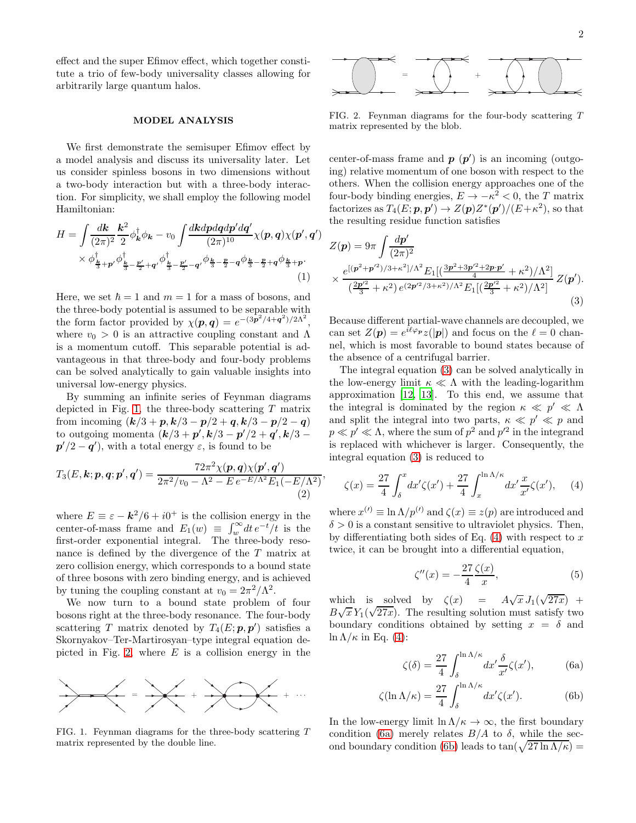effect and the super Efimov effect, which together constitute a trio of few-body universality classes allowing for arbitrarily large quantum halos.

## MODEL ANALYSIS

We first demonstrate the semisuper Efimov effect by a model analysis and discuss its universality later. Let us consider spinless bosons in two dimensions without a two-body interaction but with a three-body interaction. For simplicity, we shall employ the following model Hamiltonian:

$$
H = \int \frac{d\mathbf{k}}{(2\pi)^2} \frac{\mathbf{k}^2}{2} \phi_{\mathbf{k}}^{\dagger} \phi_{\mathbf{k}} - v_0 \int \frac{dkdpdqdp'dq'}{(2\pi)^{10}} \chi(\mathbf{p}, \mathbf{q}) \chi(\mathbf{p}', \mathbf{q}') \times \phi_{\frac{\mathbf{k}}{3} + \mathbf{p}'}^{\dagger} \phi_{\frac{\mathbf{k}}{3} - \frac{\mathbf{p}'}{2} + \mathbf{q}'}^{\dagger} \phi_{\frac{\mathbf{k}}{3} - \frac{\mathbf{p}'}{2} - \mathbf{q}'}^{\dagger} \phi_{\frac{\mathbf{k}}{3} - \frac{\mathbf{p}}{2} - \mathbf{q}}^{\dagger} \phi_{\frac{\mathbf{k}}{3} - \frac{\mathbf{p}}{2} + \mathbf{q}}^{\dagger} \phi_{\frac{\mathbf{k}}{3} + \mathbf{p}}.
$$
\n(1)

Here, we set  $\hbar = 1$  and  $m = 1$  for a mass of bosons, and the three-body potential is assumed to be separable with the form factor provided by  $\chi(p,q) = e^{-(3p^2/4+q^2)/2\Lambda^2}$ , where  $v_0 > 0$  is an attractive coupling constant and  $\Lambda$ is a momentum cutoff. This separable potential is advantageous in that three-body and four-body problems can be solved analytically to gain valuable insights into universal low-energy physics.

By summing an infinite series of Feynman diagrams depicted in Fig. [1,](#page-1-0) the three-body scattering  $T$  matrix from incoming  $(k/3 + p, k/3 - p/2 + q, k/3 - p/2 - q)$ to outgoing momenta  $(k/3 + p', k/3 - p'/2 + q', k/3$  $p'/2 - q'$ , with a total energy  $\varepsilon$ , is found to be

$$
T_3(E, \mathbf{k}; \mathbf{p}, \mathbf{q}; \mathbf{p}', \mathbf{q}') = \frac{72\pi^2 \chi(\mathbf{p}, \mathbf{q}) \chi(\mathbf{p}', \mathbf{q}')}{2\pi^2 / v_0 - \Lambda^2 - E e^{-E/\Lambda^2} E_1(-E/\Lambda^2)},
$$
\n(2)

where  $E \equiv \varepsilon - k^2/6 + i0^+$  is the collision energy in the center-of-mass frame and  $E_1(w) \equiv \int_w^{\infty} dt \, e^{-t} / t$  is the first-order exponential integral. The three-body resonance is defined by the divergence of the T matrix at zero collision energy, which corresponds to a bound state of three bosons with zero binding energy, and is achieved by tuning the coupling constant at  $v_0 = 2\pi^2/\Lambda^2$ .

We now turn to a bound state problem of four bosons right at the three-body resonance. The four-body scattering T matrix denoted by  $T_4(E; p, p')$  satisfies a Skornyakov–Ter-Martirosyan–type integral equation de-picted in Fig. [2,](#page-1-1) where  $E$  is a collision energy in the



<span id="page-1-0"></span>FIG. 1. Feynman diagrams for the three-body scattering T matrix represented by the double line.



<span id="page-1-1"></span>FIG. 2. Feynman diagrams for the four-body scattering T matrix represented by the blob.

center-of-mass frame and  $p(p')$  is an incoming (outgoing) relative momentum of one boson with respect to the others. When the collision energy approaches one of the four-body binding energies,  $E \to -\kappa^2 < 0$ , the T matrix factorizes as  $T_4(E; p, p') \rightarrow Z(p) Z^*(p')/(E+\kappa^2)$ , so that the resulting residue function satisfies

$$
Z(\mathbf{p}) = 9\pi \int \frac{d\mathbf{p}'}{(2\pi)^2} \times \frac{e^{[(\mathbf{p}^2 + \mathbf{p}'^2)/3 + \kappa^2]/\Lambda^2} E_1[(\frac{3\mathbf{p}^2 + 3\mathbf{p}'^2 + 2\mathbf{p}\cdot\mathbf{p}'}{4} + \kappa^2)/\Lambda^2]}{(\frac{2\mathbf{p}'^2}{3} + \kappa^2) e^{(2\mathbf{p}'^2/3 + \kappa^2)/\Lambda^2} E_1[(\frac{2\mathbf{p}'^2}{3} + \kappa^2)/\Lambda^2]} Z(\mathbf{p}').
$$
\n(3)

<span id="page-1-2"></span>Because different partial-wave channels are decoupled, we can set  $Z(\boldsymbol{p}) = e^{i\ell\varphi_{\boldsymbol{p}}}z(|\boldsymbol{p}|)$  and focus on the  $\ell = 0$  channel, which is most favorable to bound states because of the absence of a centrifugal barrier.

The integral equation [\(3\)](#page-1-2) can be solved analytically in the low-energy limit  $\kappa \ll \Lambda$  with the leading-logarithm approximation [\[12,](#page-4-10) [13\]](#page-4-11). To this end, we assume that the integral is dominated by the region  $\kappa \ll p' \ll \Lambda$ and split the integral into two parts,  $\kappa \ll p' \ll p$  and  $p \ll p' \ll \Lambda$ , where the sum of  $p^2$  and  $p'^2$  in the integrand is replaced with whichever is larger. Consequently, the integral equation [\(3\)](#page-1-2) is reduced to

$$
\zeta(x) = \frac{27}{4} \int_{\delta}^{x} dx' \zeta(x') + \frac{27}{4} \int_{x}^{\ln \Lambda/\kappa} dx' \frac{x}{x'} \zeta(x'), \quad (4)
$$

<span id="page-1-6"></span>where  $x^{(i)} \equiv \ln \Lambda / p^{(i)}$  and  $\zeta(x) \equiv z(p)$  are introduced and  $\delta > 0$  is a constant sensitive to ultraviolet physics. Then, by differentiating both sides of Eq.  $(4)$  with respect to x twice, it can be brought into a differential equation,

<span id="page-1-3"></span>
$$
\zeta''(x) = -\frac{27}{4} \frac{\zeta(x)}{x},\tag{5}
$$

which is solved by  $\zeta(x) = A\sqrt{x} J_1(\sqrt{27x}) +$  $B\sqrt{x} Y_1(\sqrt{27x})$ . The resulting solution must satisfy two boundary conditions obtained by setting  $x = \delta$  and  $\ln \Lambda/\kappa$  in Eq. [\(4\)](#page-1-3):

<span id="page-1-5"></span><span id="page-1-4"></span>
$$
\zeta(\delta) = \frac{27}{4} \int_{\delta}^{\ln \Lambda/\kappa} dx' \frac{\delta}{x'} \zeta(x'), \tag{6a}
$$

$$
\zeta(\ln \Lambda/\kappa) = \frac{27}{4} \int_{\delta}^{\ln \Lambda/\kappa} dx' \zeta(x'). \tag{6b}
$$

In the low-energy limit  $\ln \Lambda/\kappa \to \infty$ , the first boundary condition [\(6a\)](#page-1-4) merely relates  $B/A$  to  $\delta$ , while the sec-ond boundary condition [\(6b\)](#page-1-5) leads to  $\tan(\sqrt{27 \ln \Lambda/\kappa})$  =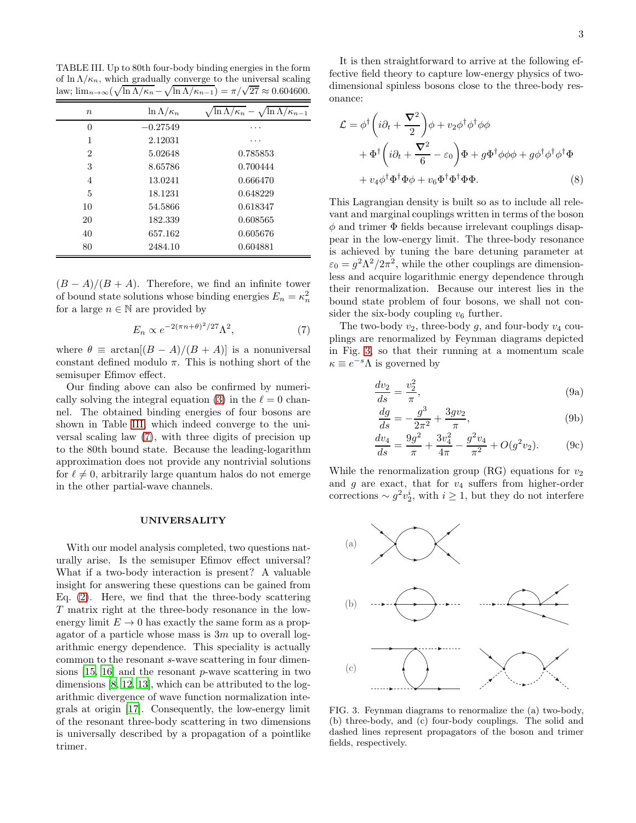<span id="page-2-0"></span>TABLE III. Up to 80th four-body binding energies in the form of  $\ln \Lambda/\kappa_n$ , which gradually converge to the universal scaling law;  $\lim_{n\to\infty} (\sqrt{\ln \Lambda/\kappa_n} - \sqrt{\ln \Lambda/\kappa_{n-1}}) = \pi/\sqrt{27} \approx 0.604600.$ 

| $\boldsymbol{n}$ | $\ln \Lambda/\kappa_n$ | $\ln \Lambda/\kappa_n - \sqrt{\ln \Lambda/\kappa_{n-1}}$ |
|------------------|------------------------|----------------------------------------------------------|
| $\overline{0}$   | $-0.27549$             |                                                          |
| 1                | 2.12031                |                                                          |
| $\overline{2}$   | 5.02648                | 0.785853                                                 |
| 3                | 8.65786                | 0.700444                                                 |
| 4                | 13.0241                | 0.666470                                                 |
| 5                | 18.1231                | 0.648229                                                 |
| 10               | 54.5866                | 0.618347                                                 |
| 20               | 182.339                | 0.608565                                                 |
| 40               | 657.162                | 0.605676                                                 |
| 80               | 2484.10                | 0.604881                                                 |

 $(B - A)/(B + A)$ . Therefore, we find an infinite tower of bound state solutions whose binding energies  $E_n = \kappa_n^2$ for a large  $n \in \mathbb{N}$  are provided by

$$
E_n \propto e^{-2(\pi n + \theta)^2/27} \Lambda^2,\tag{7}
$$

where  $\theta \equiv \arctan[(B-A)/(B+A)]$  is a nonuniversal constant defined modulo  $\pi$ . This is nothing short of the semisuper Efimov effect.

Our finding above can also be confirmed by numeri-cally solving the integral equation [\(3\)](#page-1-2) in the  $\ell = 0$  channel. The obtained binding energies of four bosons are shown in Table [III,](#page-2-0) which indeed converge to the universal scaling law [\(7\)](#page-2-1), with three digits of precision up to the 80th bound state. Because the leading-logarithm approximation does not provide any nontrivial solutions for  $\ell \neq 0$ , arbitrarily large quantum halos do not emerge in the other partial-wave channels.

## UNIVERSALITY

With our model analysis completed, two questions naturally arise. Is the semisuper Efimov effect universal? What if a two-body interaction is present? A valuable insight for answering these questions can be gained from Eq. [\(2\)](#page-1-6). Here, we find that the three-body scattering T matrix right at the three-body resonance in the lowenergy limit  $E \to 0$  has exactly the same form as a propagator of a particle whose mass is  $3m$  up to overall logarithmic energy dependence. This speciality is actually common to the resonant s-wave scattering in four dimensions [\[15,](#page-4-13) [16\]](#page-4-14) and the resonant p-wave scattering in two dimensions [\[8,](#page-4-6) [12](#page-4-10), [13\]](#page-4-11), which can be attributed to the logarithmic divergence of wave function normalization integrals at origin [\[17](#page-4-15)]. Consequently, the low-energy limit of the resonant three-body scattering in two dimensions is universally described by a propagation of a pointlike trimer.

It is then straightforward to arrive at the following effective field theory to capture low-energy physics of twodimensional spinless bosons close to the three-body resonance:

$$
\mathcal{L} = \phi^{\dagger} \left( i \partial_t + \frac{\nabla^2}{2} \right) \phi + v_2 \phi^{\dagger} \phi^{\dagger} \phi \phi \n+ \Phi^{\dagger} \left( i \partial_t + \frac{\nabla^2}{6} - \varepsilon_0 \right) \Phi + g \Phi^{\dagger} \phi \phi + g \phi^{\dagger} \phi^{\dagger} \phi^{\dagger} \Phi \n+ v_4 \phi^{\dagger} \Phi^{\dagger} \Phi \phi + v_6 \Phi^{\dagger} \Phi^{\dagger} \Phi \Phi.
$$
\n(8)

This Lagrangian density is built so as to include all relevant and marginal couplings written in terms of the boson  $\phi$  and trimer  $\Phi$  fields because irrelevant couplings disappear in the low-energy limit. The three-body resonance is achieved by tuning the bare detuning parameter at  $\varepsilon_0 = g^2 \Lambda^2 / 2\pi^2$ , while the other couplings are dimensionless and acquire logarithmic energy dependence through their renormalization. Because our interest lies in the bound state problem of four bosons, we shall not consider the six-body coupling  $v_6$  further.

<span id="page-2-1"></span>The two-body  $v_2$ , three-body g, and four-body  $v_4$  couplings are renormalized by Feynman diagrams depicted in Fig. [3,](#page-2-2) so that their running at a momentum scale  $\kappa \equiv e^{-s} \Lambda$  is governed by

$$
\frac{dv_2}{ds} = \frac{v_2^2}{\pi},\tag{9a}
$$

<span id="page-2-4"></span>
$$
\frac{dg}{ds} = -\frac{g^3}{2\pi^2} + \frac{3gv_2}{\pi},\tag{9b}
$$

<span id="page-2-3"></span>
$$
\frac{dv_4}{ds} = \frac{9g^2}{\pi} + \frac{3v_4^2}{4\pi} - \frac{g^2v_4}{\pi^2} + O(g^2v_2).
$$
 (9c)

While the renormalization group  $(RG)$  equations for  $v_2$ and  $g$  are exact, that for  $v_4$  suffers from higher-order corrections  $\sim g^2 v_2^i$ , with  $i \geq 1$ , but they do not interfere



<span id="page-2-2"></span>FIG. 3. Feynman diagrams to renormalize the (a) two-body, (b) three-body, and (c) four-body couplings. The solid and dashed lines represent propagators of the boson and trimer fields, respectively.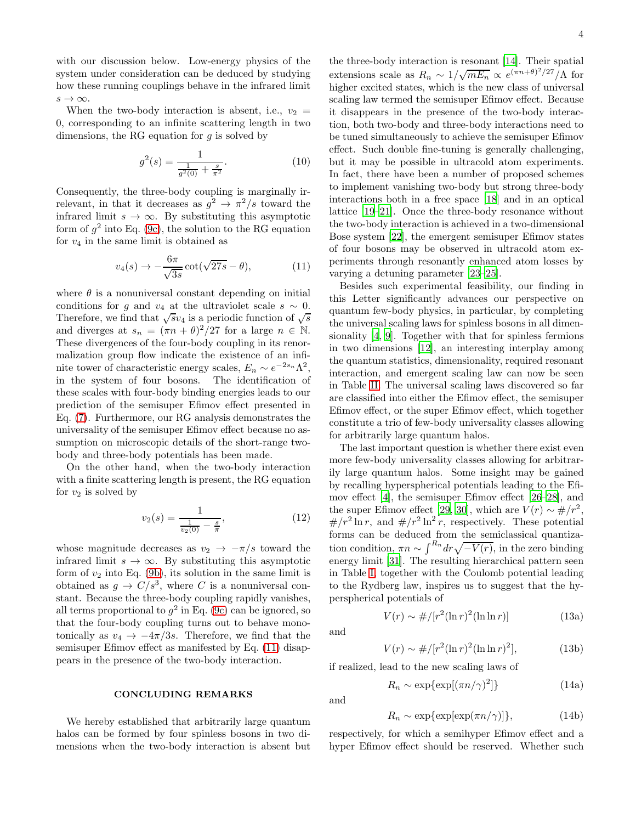with our discussion below. Low-energy physics of the system under consideration can be deduced by studying how these running couplings behave in the infrared limit  $s \to \infty$ .

When the two-body interaction is absent, i.e.,  $v_2 =$ 0, corresponding to an infinite scattering length in two dimensions, the RG equation for  $q$  is solved by

$$
g^{2}(s) = \frac{1}{\frac{1}{g^{2}(0)} + \frac{s}{\pi^{2}}}.
$$
\n(10)

Consequently, the three-body coupling is marginally irrelevant, in that it decreases as  $g^2 \to \pi^2/s$  toward the infrared limit  $s \to \infty$ . By substituting this asymptotic form of  $g^2$  into Eq. [\(9c\)](#page-2-3), the solution to the RG equation for  $v_4$  in the same limit is obtained as

$$
v_4(s) \to -\frac{6\pi}{\sqrt{3s}} \cot(\sqrt{27s} - \theta), \tag{11}
$$

where  $\theta$  is a nonuniversal constant depending on initial conditions for g and  $v_4$  at the ultraviolet scale  $s \sim 0$ . Therefore, we find that  $\sqrt{s}v_4$  is a periodic function of  $\sqrt{s}$ and diverges at  $s_n = (\pi n + \theta)^2/27$  for a large  $n \in \mathbb{N}$ . These divergences of the four-body coupling in its renormalization group flow indicate the existence of an infinite tower of characteristic energy scales,  $E_n \sim e^{-2s_n} \Lambda^2$ , in the system of four bosons. The identification of these scales with four-body binding energies leads to our prediction of the semisuper Efimov effect presented in Eq. [\(7\)](#page-2-1). Furthermore, our RG analysis demonstrates the universality of the semisuper Efimov effect because no assumption on microscopic details of the short-range twobody and three-body potentials has been made.

On the other hand, when the two-body interaction with a finite scattering length is present, the RG equation for  $v_2$  is solved by

$$
v_2(s) = \frac{1}{\frac{1}{v_2(0)} - \frac{s}{\pi}},\tag{12}
$$

whose magnitude decreases as  $v_2 \rightarrow -\pi/s$  toward the infrared limit  $s \to \infty$ . By substituting this asymptotic form of  $v_2$  into Eq. [\(9b\)](#page-2-4), its solution in the same limit is obtained as  $g \to C/s^3$ , where C is a nonuniversal constant. Because the three-body coupling rapidly vanishes, all terms proportional to  $g^2$  in Eq. [\(9c\)](#page-2-3) can be ignored, so that the four-body coupling turns out to behave monotonically as  $v_4 \rightarrow -4\pi/3s$ . Therefore, we find that the semisuper Efimov effect as manifested by Eq. [\(11\)](#page-3-0) disappears in the presence of the two-body interaction.

CONCLUDING REMARKS

We hereby established that arbitrarily large quantum halos can be formed by four spinless bosons in two dimensions when the two-body interaction is absent but

the three-body interaction is resonant [\[14\]](#page-4-12). Their spatial extensions scale as  $R_n \sim 1/\sqrt{mE_n} \propto e^{(\pi n + \theta)^2/27}/\Lambda$  for higher excited states, which is the new class of universal scaling law termed the semisuper Efimov effect. Because it disappears in the presence of the two-body interaction, both two-body and three-body interactions need to be tuned simultaneously to achieve the semisuper Efimov effect. Such double fine-tuning is generally challenging, but it may be possible in ultracold atom experiments. In fact, there have been a number of proposed schemes to implement vanishing two-body but strong three-body interactions both in a free space [\[18](#page-4-16)] and in an optical lattice [\[19](#page-4-17)[–21\]](#page-4-18). Once the three-body resonance without the two-body interaction is achieved in a two-dimensional Bose system [\[22\]](#page-4-19), the emergent semisuper Efimov states of four bosons may be observed in ultracold atom experiments through resonantly enhanced atom losses by varying a detuning parameter [\[23](#page-4-20)[–25\]](#page-4-21).

<span id="page-3-0"></span>Besides such experimental feasibility, our finding in this Letter significantly advances our perspective on quantum few-body physics, in particular, by completing the universal scaling laws for spinless bosons in all dimensionality [\[4,](#page-4-3) [9](#page-4-7)]. Together with that for spinless fermions in two dimensions [\[12\]](#page-4-10), an interesting interplay among the quantum statistics, dimensionality, required resonant interaction, and emergent scaling law can now be seen in Table [II.](#page-0-1) The universal scaling laws discovered so far are classified into either the Efimov effect, the semisuper Efimov effect, or the super Efimov effect, which together constitute a trio of few-body universality classes allowing for arbitrarily large quantum halos.

The last important question is whether there exist even more few-body universality classes allowing for arbitrarily large quantum halos. Some insight may be gained by recalling hyperspherical potentials leading to the Efimov effect [\[4\]](#page-4-3), the semisuper Efimov effect [\[26](#page-4-22)[–28\]](#page-4-23), and the super Efimov effect [\[29,](#page-4-24) [30\]](#page-4-25), which are  $V(r) \sim \frac{\mu}{r^2}$ ,  $\#/r^2 \ln r$ , and  $\#/r^2 \ln^2 r$ , respectively. These potential forms can be deduced from the semiclassical quantization condition,  $\pi n \sim \int^{R_n} dr \sqrt{-V(r)}$ , in the zero binding energy limit [\[31\]](#page-4-26). The resulting hierarchical pattern seen in Table [I,](#page-0-0) together with the Coulomb potential leading to the Rydberg law, inspires us to suggest that the hyperspherical potentials of

and

and

$$
V(r) \sim \frac{\mu}{r^2 (\ln r)^2 (\ln \ln r)} \tag{13a}
$$

$$
V(r) \sim \frac{\mu}{r^2 (\ln r)^2 (\ln \ln r)^2},
$$
 (13b)

if realized, lead to the new scaling laws of

 $R_n \sim$ 

$$
\exp\{\exp[(\pi n/\gamma)^2]\}\qquad(14a)
$$

$$
R_n \sim \exp\{\exp[\exp(\pi n/\gamma)]\},\tag{14b}
$$

respectively, for which a semihyper Efimov effect and a hyper Efimov effect should be reserved. Whether such